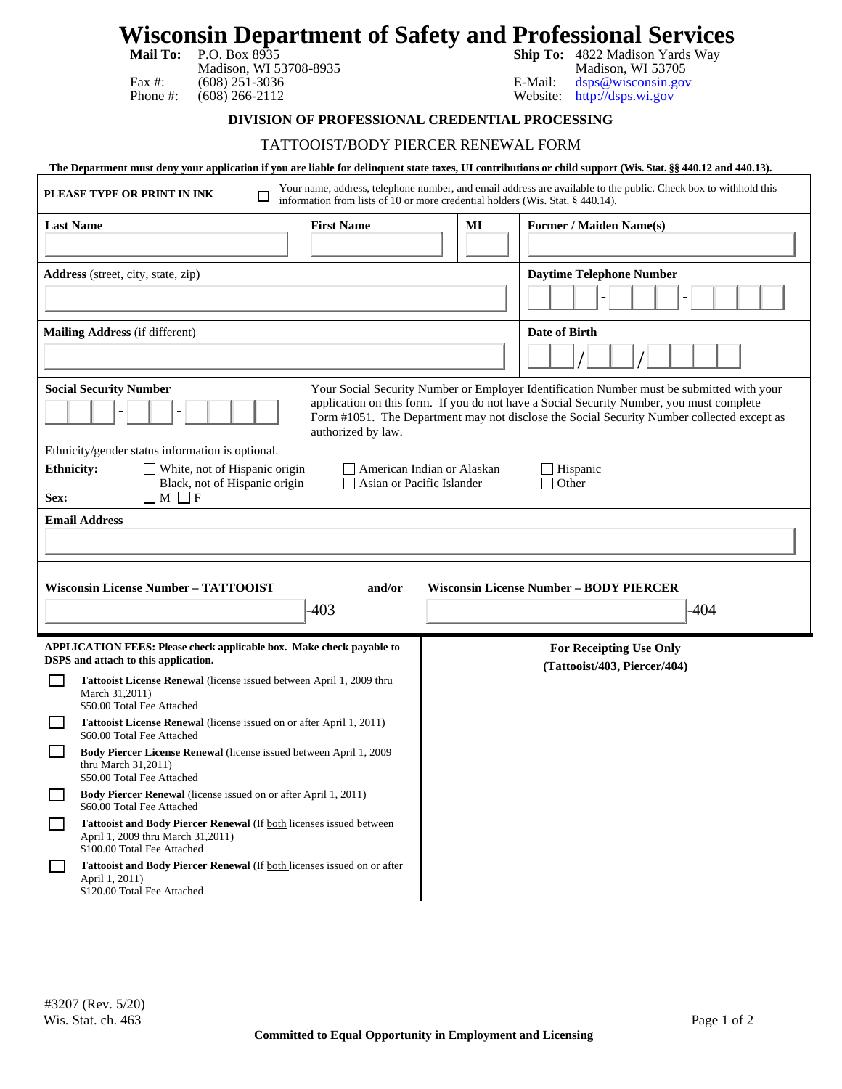| P.O. Box 8935<br><b>Mail To:</b><br>Madison, WI 53708-8935<br>Fax $#$ :<br>$(608)$ 251-3036<br>Phone #:<br>$(608)$ 266-2112                                                                                                                                                                                                                | Wisconsin Department of Safety and Professional Services<br>Ship To: 4822 Madison Yards Way<br>Madison, WI 53705<br>E-Mail:<br>dsps@wisconsin.gov<br>http://dsps.wi.gov<br>Website: |
|--------------------------------------------------------------------------------------------------------------------------------------------------------------------------------------------------------------------------------------------------------------------------------------------------------------------------------------------|-------------------------------------------------------------------------------------------------------------------------------------------------------------------------------------|
| DIVISION OF PROFESSIONAL CREDENTIAL PROCESSING                                                                                                                                                                                                                                                                                             |                                                                                                                                                                                     |
| <b>TATTOOIST/BODY PIERCER RENEWAL FORM</b>                                                                                                                                                                                                                                                                                                 |                                                                                                                                                                                     |
| The Department must deny your application if you are liable for delinquent state taxes, UI contributions or child support (Wis. Stat. §§ 440.12 and 440.13).                                                                                                                                                                               |                                                                                                                                                                                     |
| Your name, address, telephone number, and email address are available to the public. Check box to withhold this<br>PLEASE TYPE OR PRINT IN INK<br>ப<br>information from lists of 10 or more credential holders (Wis. Stat. § 440.14).                                                                                                      |                                                                                                                                                                                     |
| <b>Last Name</b><br><b>First Name</b>                                                                                                                                                                                                                                                                                                      | Former / Maiden Name(s)<br>MI                                                                                                                                                       |
|                                                                                                                                                                                                                                                                                                                                            |                                                                                                                                                                                     |
| Address (street, city, state, zip)                                                                                                                                                                                                                                                                                                         | <b>Daytime Telephone Number</b>                                                                                                                                                     |
|                                                                                                                                                                                                                                                                                                                                            |                                                                                                                                                                                     |
| Mailing Address (if different)                                                                                                                                                                                                                                                                                                             | Date of Birth                                                                                                                                                                       |
|                                                                                                                                                                                                                                                                                                                                            |                                                                                                                                                                                     |
| <b>Social Security Number</b><br>Your Social Security Number or Employer Identification Number must be submitted with your<br>application on this form. If you do not have a Social Security Number, you must complete<br>Form #1051. The Department may not disclose the Social Security Number collected except as<br>authorized by law. |                                                                                                                                                                                     |
| Ethnicity/gender status information is optional.<br>White, not of Hispanic origin<br><b>Ethnicity:</b><br>American Indian or Alaskan<br>Hispanic<br>Black, not of Hispanic origin<br>$\Box$ Other<br>Asian or Pacific Islander<br>$M \Box F$<br>Sex:                                                                                       |                                                                                                                                                                                     |
| <b>Email Address</b>                                                                                                                                                                                                                                                                                                                       |                                                                                                                                                                                     |
|                                                                                                                                                                                                                                                                                                                                            |                                                                                                                                                                                     |
|                                                                                                                                                                                                                                                                                                                                            |                                                                                                                                                                                     |
| <b>Wisconsin License Number - TATTOOIST</b><br><b>Wisconsin License Number – BODY PIERCER</b><br>and/or                                                                                                                                                                                                                                    |                                                                                                                                                                                     |
| -403                                                                                                                                                                                                                                                                                                                                       | -404                                                                                                                                                                                |
| <b>APPLICATION FEES: Please check applicable box. Make check payable to</b><br>DSPS and attach to this application.                                                                                                                                                                                                                        | <b>For Receipting Use Only</b><br>(Tattooist/403, Piercer/404)                                                                                                                      |
| Tattooist License Renewal (license issued between April 1, 2009 thru<br>March 31,2011)                                                                                                                                                                                                                                                     |                                                                                                                                                                                     |
| \$50.00 Total Fee Attached<br><b>Tattooist License Renewal</b> (license issued on or after April 1, 2011)<br>l I<br>\$60.00 Total Fee Attached                                                                                                                                                                                             |                                                                                                                                                                                     |
| Body Piercer License Renewal (license issued between April 1, 2009<br>thru March $31,2011$ )<br>\$50.00 Total Fee Attached                                                                                                                                                                                                                 |                                                                                                                                                                                     |
| Body Piercer Renewal (license issued on or after April 1, 2011)<br>\$60.00 Total Fee Attached                                                                                                                                                                                                                                              |                                                                                                                                                                                     |
| Tattooist and Body Piercer Renewal (If both licenses issued between<br>April 1, 2009 thru March 31,2011)<br>\$100.00 Total Fee Attached                                                                                                                                                                                                    |                                                                                                                                                                                     |
| Tattooist and Body Piercer Renewal (If both licenses issued on or after                                                                                                                                                                                                                                                                    |                                                                                                                                                                                     |

April 1, 2011)

\$120.00 Total Fee Attached